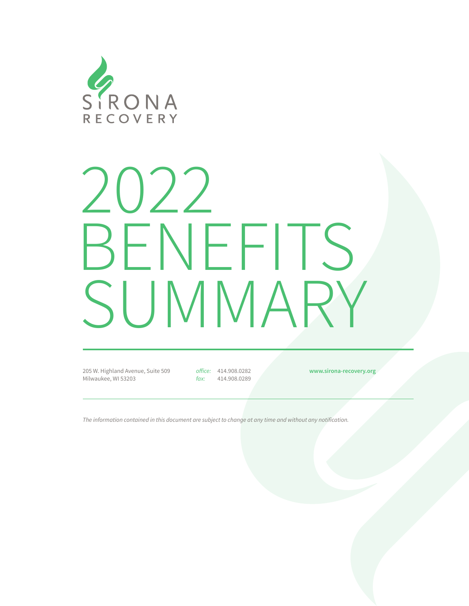

# 2022 BENEFITS SUMMARY

205 W. Highland Avenue, Suite 509 Milwaukee, WI 53203

office: 414.908.0282 fax: 414.908.0289 **www.sirona-recovery.org**

The information contained in this document are subject to change at any time and without any notification.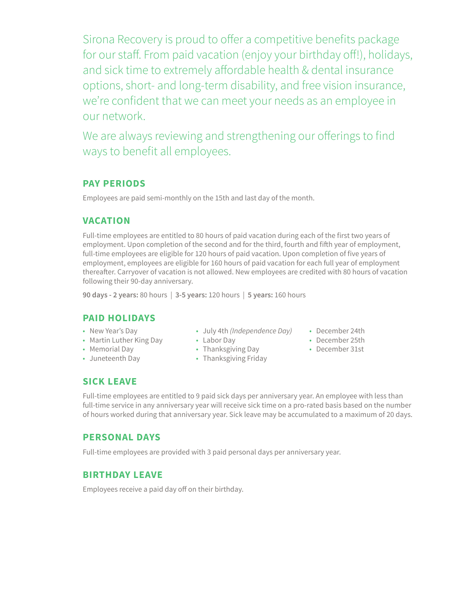Sirona Recovery is proud to offer a competitive benefits package for our staff. From paid vacation (enjoy your birthday off!), holidays, and sick time to extremely affordable health & dental insurance options, short- and long-term disability, and free vision insurance, we're confident that we can meet your needs as an employee in our network.

We are always reviewing and strengthening our offerings to find ways to benefit all employees.

# **PAY PERIODS**

Employees are paid semi-monthly on the 15th and last day of the month.

# **VACATION**

Full-time employees are entitled to 80 hours of paid vacation during each of the first two years of employment. Upon completion of the second and for the third, fourth and fifth year of employment, full-time employees are eligible for 120 hours of paid vacation. Upon completion of five years of employment, employees are eligible for 160 hours of paid vacation for each full year of employment thereafter. Carryover of vacation is not allowed. New employees are credited with 80 hours of vacation following their 90-day anniversary.

**90 days - 2 years:** 80 hours | **3-5 years:** 120 hours | **5 years:** 160 hours

### **PAID HOLIDAYS**

- New Year's Day
- Martin Luther King Day **•** Labor Day
- Memorial Day
- Juneteenth Day
- July 4th *(Independence Day)* December 24th
- 
- Thanksgiving Day
- Thanksgiving Friday
- 
- December 25th
	- December 31st

### **SICK LEAVE**

Full-time employees are entitled to 9 paid sick days per anniversary year. An employee with less than full-time service in any anniversary year will receive sick time on a pro-rated basis based on the number of hours worked during that anniversary year. Sick leave may be accumulated to a maximum of 20 days.

### **PERSONAL DAYS**

Full-time employees are provided with 3 paid personal days per anniversary year.

### **BIRTHDAY LEAVE**

Employees receive a paid day off on their birthday.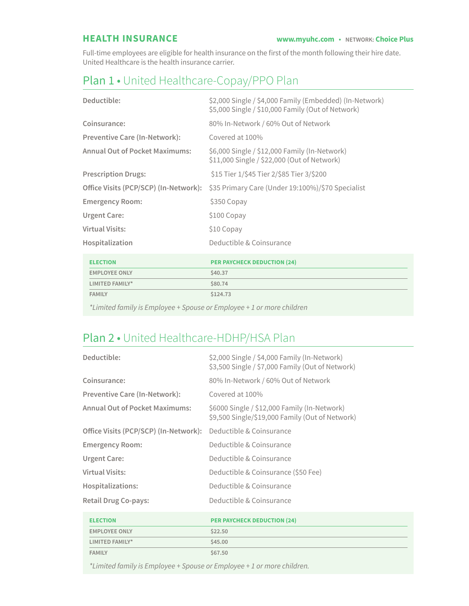Full-time employees are eligible for health insurance on the first of the month following their hire date. United Healthcare is the health insurance carrier.

# Plan 1 • United Healthcare-Copay/PPO Plan

| Deductible:                           | \$2,000 Single / \$4,000 Family (Embedded) (In-Network)<br>\$5,000 Single / \$10,000 Family (Out of Network) |
|---------------------------------------|--------------------------------------------------------------------------------------------------------------|
| Coinsurance:                          | 80% In-Network / 60% Out of Network                                                                          |
| <b>Preventive Care (In-Network):</b>  | Covered at 100%                                                                                              |
| <b>Annual Out of Pocket Maximums:</b> | \$6,000 Single / \$12,000 Family (In-Network)<br>\$11,000 Single / \$22,000 (Out of Network)                 |
| <b>Prescription Drugs:</b>            | \$15 Tier 1/\$45 Tier 2/\$85 Tier 3/\$200                                                                    |
| Office Visits (PCP/SCP) (In-Network): | \$35 Primary Care (Under 19:100%)/\$70 Specialist                                                            |
| <b>Emergency Room:</b>                | \$350 Copay                                                                                                  |
| Urgent Care:                          | \$100 Copay                                                                                                  |
| Virtual Visits:                       | \$10 Copay                                                                                                   |
| Hospitalization                       | Deductible & Coinsurance                                                                                     |

| <b>ELECTION</b>                                                                                                                                                                                                               | <b>PER PAYCHECK DEDUCTION (24)</b> |
|-------------------------------------------------------------------------------------------------------------------------------------------------------------------------------------------------------------------------------|------------------------------------|
| <b>EMPLOYEE ONLY</b>                                                                                                                                                                                                          | \$40.37                            |
| LIMITED FAMILY*                                                                                                                                                                                                               | \$80.74                            |
| <b>FAMILY</b>                                                                                                                                                                                                                 | \$124.73                           |
| . The contract of the contract of the contract of the contract of the contract of the contract of the contract of the contract of the contract of the contract of the contract of the contract of the contract of the contrac |                                    |

*\*Limited family is Employee + Spouse or Employee + 1 or more children*

# Plan 2 • United Healthcare-HDHP/HSA Plan

| Deductible:                           | \$2,000 Single / \$4,000 Family (In-Network)<br>\$3,500 Single / \$7,000 Family (Out of Network) |
|---------------------------------------|--------------------------------------------------------------------------------------------------|
| Coinsurance:                          | 80% In-Network / 60% Out of Network                                                              |
| <b>Preventive Care (In-Network):</b>  | Covered at 100%                                                                                  |
| <b>Annual Out of Pocket Maximums:</b> | \$6000 Single / \$12,000 Family (In-Network)<br>\$9,500 Single/\$19,000 Family (Out of Network)  |
| Office Visits (PCP/SCP) (In-Network): | Deductible & Coinsurance                                                                         |
| <b>Emergency Room:</b>                | Deductible & Coinsurance                                                                         |
| Urgent Care:                          | Deductible & Coinsurance                                                                         |
| <b>Virtual Visits:</b>                | Deductible & Coinsurance (\$50 Fee)                                                              |
| Hospitalizations:                     | Deductible & Coinsurance                                                                         |
| <b>Retail Drug Co-pays:</b>           | Deductible & Coinsurance                                                                         |

| <b>ELECTION</b>      | <b>PER PAYCHECK DEDUCTION (24)</b> |
|----------------------|------------------------------------|
| <b>EMPLOYEE ONLY</b> | \$22.50                            |
| LIMITED FAMILY*      | \$45.00                            |
| <b>FAMILY</b>        | \$67.50                            |

\*Limited family is Employee + Spouse or Employee + 1 or more children.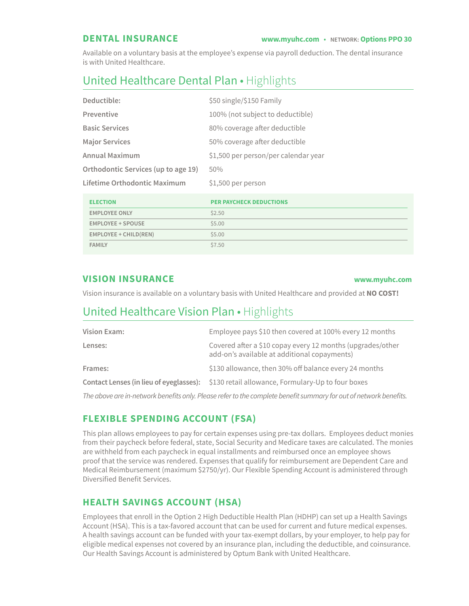Available on a voluntary basis at the employee's expense via payroll deduction. The dental insurance is with United Healthcare.

# United Healthcare Dental Plan • Highlights

| Deductible:                         | \$50 single/\$150 Family             |
|-------------------------------------|--------------------------------------|
| Preventive                          | 100% (not subject to deductible)     |
| <b>Basic Services</b>               | 80% coverage after deductible        |
| <b>Major Services</b>               | 50% coverage after deductible        |
| <b>Annual Maximum</b>               | \$1,500 per person/per calendar year |
| Orthodontic Services (up to age 19) | 50%                                  |
| Lifetime Orthodontic Maximum        | \$1,500 per person                   |

| <b>ELECTION</b>          | <b>PER PAYCHECK DEDUCTIONS</b> |
|--------------------------|--------------------------------|
| <b>EMPLOYEE ONLY</b>     | \$2.50                         |
| <b>EMPLOYEE + SPOUSE</b> | \$5.00                         |
| EMPLOYEE + CHILD(REN)    | \$5.00                         |
| <b>FAMILY</b>            | \$7.50                         |

### **VISION INSURANCE www.myuhc.com**

Vision insurance is available on a voluntary basis with United Healthcare and provided at **NO COST!**

# United Healthcare Vision Plan • Highlights

| Vision Exam: | Employee pays \$10 then covered at 100% every 12 months                                                    |
|--------------|------------------------------------------------------------------------------------------------------------|
| Lenses:      | Covered after a \$10 copay every 12 months (upgrades/other<br>add-on's available at additional copayments) |
| Frames:      | \$130 allowance, then 30% off balance every 24 months                                                      |
|              | <b>Contact Lenses (in lieu of eyeglasses):</b> \$130 retail allowance, Formulary-Up to four boxes          |
|              |                                                                                                            |

The above are in-network benefits only. Please refer to the complete benefit summary for out of network benefits.

# **FLEXIBLE SPENDING ACCOUNT (FSA)**

This plan allows employees to pay for certain expenses using pre-tax dollars. Employees deduct monies from their paycheck before federal, state, Social Security and Medicare taxes are calculated. The monies are withheld from each paycheck in equal installments and reimbursed once an employee shows proof that the service was rendered. Expenses that qualify for reimbursement are Dependent Care and Medical Reimbursement (maximum \$2750/yr). Our Flexible Spending Account is administered through Diversified Benefit Services.

# **HEALTH SAVINGS ACCOUNT (HSA)**

Employees that enroll in the Option 2 High Deductible Health Plan (HDHP) can set up a Health Savings Account (HSA). This is a tax-favored account that can be used for current and future medical expenses. A health savings account can be funded with your tax-exempt dollars, by your employer, to help pay for eligible medical expenses not covered by an insurance plan, including the deductible, and coinsurance. Our Health Savings Account is administered by Optum Bank with United Healthcare.